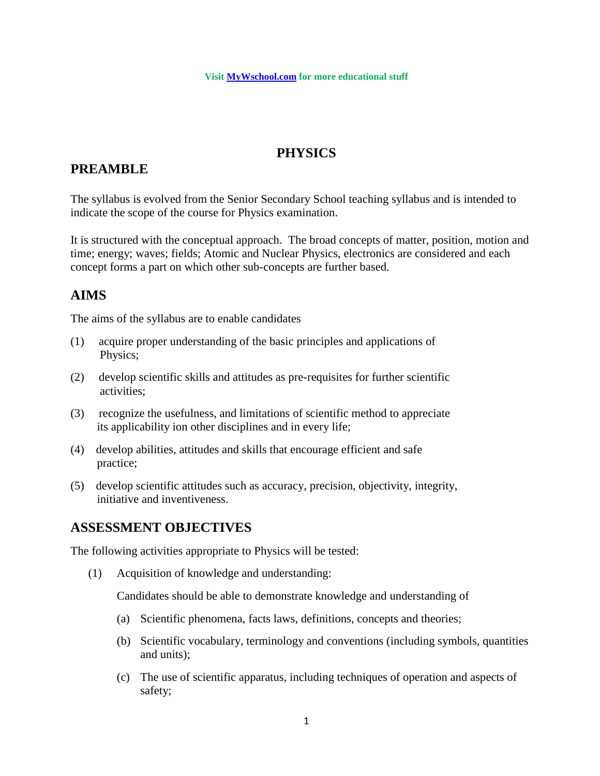### **PHYSICS**

## **PREAMBLE**

The syllabus is evolved from the Senior Secondary School teaching syllabus and is intended to indicate the scope of the course for Physics examination.

It is structured with the conceptual approach. The broad concepts of matter, position, motion and time; energy; waves; fields; Atomic and Nuclear Physics, electronics are considered and each concept forms a part on which other sub-concepts are further based.

## **AIMS**

The aims of the syllabus are to enable candidates

- (1) acquire proper understanding of the basic principles and applications of Physics;
- (2) develop scientific skills and attitudes as pre-requisites for further scientific activities;
- (3) recognize the usefulness, and limitations of scientific method to appreciate its applicability ion other disciplines and in every life;
- (4) develop abilities, attitudes and skills that encourage efficient and safe practice;
- (5) develop scientific attitudes such as accuracy, precision, objectivity, integrity, initiative and inventiveness.

## **ASSESSMENT OBJECTIVES**

The following activities appropriate to Physics will be tested:

(1) Acquisition of knowledge and understanding:

Candidates should be able to demonstrate knowledge and understanding of

- (a) Scientific phenomena, facts laws, definitions, concepts and theories;
- (b) Scientific vocabulary, terminology and conventions (including symbols, quantities and units);
- (c) The use of scientific apparatus, including techniques of operation and aspects of safety;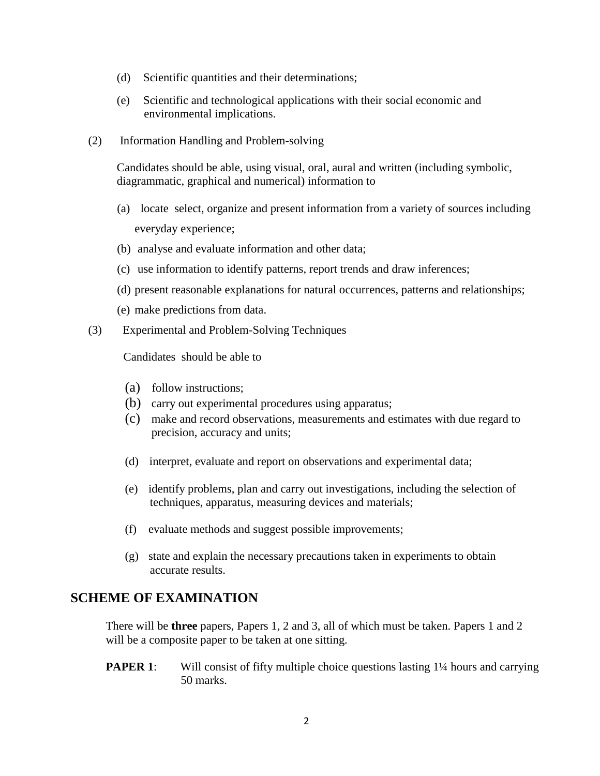- (d) Scientific quantities and their determinations;
- (e) Scientific and technological applications with their social economic and environmental implications.
- (2) Information Handling and Problem-solving

Candidates should be able, using visual, oral, aural and written (including symbolic, diagrammatic, graphical and numerical) information to

- (a) locate select, organize and present information from a variety of sources including everyday experience;
- (b) analyse and evaluate information and other data;
- (c) use information to identify patterns, report trends and draw inferences;
- (d) present reasonable explanations for natural occurrences, patterns and relationships;
- (e) make predictions from data.
- (3) Experimental and Problem-Solving Techniques

Candidates should be able to

- (a) follow instructions;
- (b) carry out experimental procedures using apparatus;
- (c) make and record observations, measurements and estimates with due regard to precision, accuracy and units;
- (d) interpret, evaluate and report on observations and experimental data;
- (e) identify problems, plan and carry out investigations, including the selection of techniques, apparatus, measuring devices and materials;
- (f) evaluate methods and suggest possible improvements;
- (g) state and explain the necessary precautions taken in experiments to obtain accurate results.

#### **SCHEME OF EXAMINATION**

There will be **three** papers, Papers 1, 2 and 3, all of which must be taken. Papers 1 and 2 will be a composite paper to be taken at one sitting.

**PAPER 1**: Will consist of fifty multiple choice questions lasting 1<sup>1</sup>/4 hours and carrying 50 marks.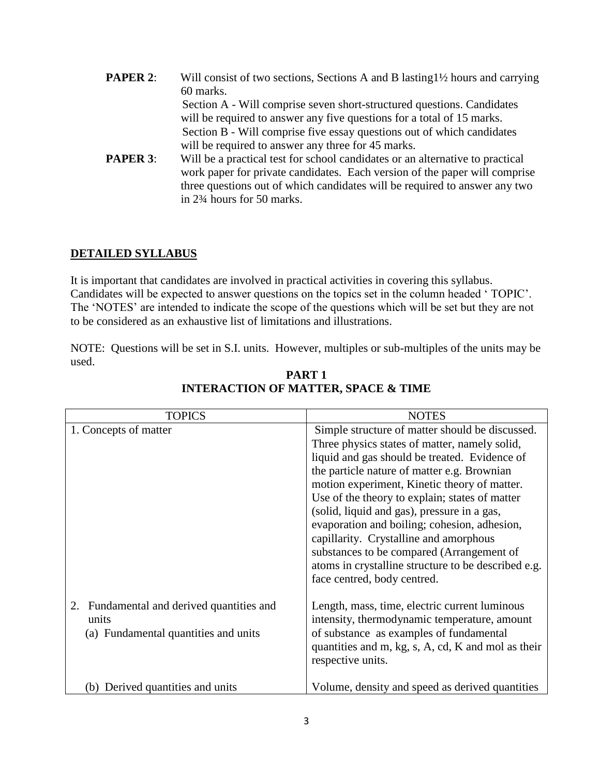- **PAPER 2:** Will consist of two sections, Sections A and B lasting 1<sup>1</sup>/<sub>2</sub> hours and carrying 60 marks. Section A - Will comprise seven short-structured questions. Candidates will be required to answer any five questions for a total of 15 marks. Section B - Will comprise five essay questions out of which candidates will be required to answer any three for 45 marks. **PAPER 3:** Will be a practical test for school candidates or an alternative to practical
	- work paper for private candidates. Each version of the paper will comprise three questions out of which candidates will be required to answer any two in 2¾ hours for 50 marks.

#### **DETAILED SYLLABUS**

It is important that candidates are involved in practical activities in covering this syllabus. Candidates will be expected to answer questions on the topics set in the column headed ' TOPIC'. The 'NOTES' are intended to indicate the scope of the questions which will be set but they are not to be considered as an exhaustive list of limitations and illustrations.

NOTE: Questions will be set in S.I. units. However, multiples or sub-multiples of the units may be used.

| <b>TOPICS</b>                                                                                 | <b>NOTES</b>                                                                                                                                                                                                                                                                                                                                                                                                                                                                                                                                                                   |
|-----------------------------------------------------------------------------------------------|--------------------------------------------------------------------------------------------------------------------------------------------------------------------------------------------------------------------------------------------------------------------------------------------------------------------------------------------------------------------------------------------------------------------------------------------------------------------------------------------------------------------------------------------------------------------------------|
| 1. Concepts of matter                                                                         | Simple structure of matter should be discussed.<br>Three physics states of matter, namely solid,<br>liquid and gas should be treated. Evidence of<br>the particle nature of matter e.g. Brownian<br>motion experiment, Kinetic theory of matter.<br>Use of the theory to explain; states of matter<br>(solid, liquid and gas), pressure in a gas,<br>evaporation and boiling; cohesion, adhesion,<br>capillarity. Crystalline and amorphous<br>substances to be compared (Arrangement of<br>atoms in crystalline structure to be described e.g.<br>face centred, body centred. |
| Fundamental and derived quantities and<br>2.<br>units<br>(a) Fundamental quantities and units | Length, mass, time, electric current luminous<br>intensity, thermodynamic temperature, amount<br>of substance as examples of fundamental<br>quantities and m, kg, s, A, cd, K and mol as their<br>respective units.                                                                                                                                                                                                                                                                                                                                                            |
| (b) Derived quantities and units                                                              | Volume, density and speed as derived quantities                                                                                                                                                                                                                                                                                                                                                                                                                                                                                                                                |

**PART 1 INTERACTION OF MATTER, SPACE & TIME**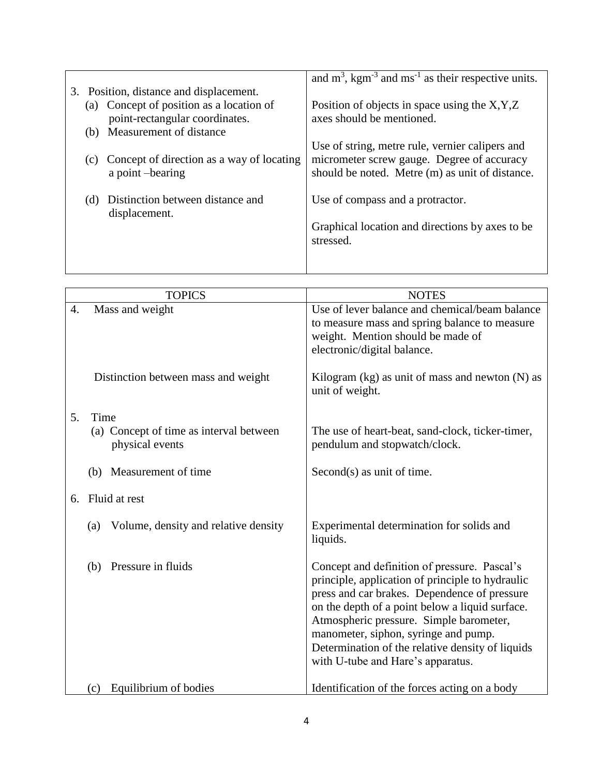|     |                                                                        | and $m^3$ , kgm <sup>-3</sup> and ms <sup>-1</sup> as their respective units.                 |
|-----|------------------------------------------------------------------------|-----------------------------------------------------------------------------------------------|
|     | 3. Position, distance and displacement.                                |                                                                                               |
| (a) | Concept of position as a location of<br>point-rectangular coordinates. | Position of objects in space using the $X, Y, Z$<br>axes should be mentioned.                 |
| (b) | Measurement of distance                                                |                                                                                               |
|     |                                                                        | Use of string, metre rule, vernier calipers and                                               |
| (c) | Concept of direction as a way of locating<br>a point-bearing           | micrometer screw gauge. Degree of accuracy<br>should be noted. Metre (m) as unit of distance. |
| (d) | Distinction between distance and<br>displacement.                      | Use of compass and a protractor.                                                              |
|     |                                                                        | Graphical location and directions by axes to be.<br>stressed.                                 |
|     |                                                                        |                                                                                               |

|    | <b>TOPICS</b>                                              | <b>NOTES</b>                                                                                                                                                                                                                                                                                                                                                                    |
|----|------------------------------------------------------------|---------------------------------------------------------------------------------------------------------------------------------------------------------------------------------------------------------------------------------------------------------------------------------------------------------------------------------------------------------------------------------|
| 4. | Mass and weight                                            | Use of lever balance and chemical/beam balance<br>to measure mass and spring balance to measure<br>weight. Mention should be made of<br>electronic/digital balance.                                                                                                                                                                                                             |
|    | Distinction between mass and weight                        | Kilogram $(kg)$ as unit of mass and newton $(N)$ as<br>unit of weight.                                                                                                                                                                                                                                                                                                          |
| 5. | Time                                                       |                                                                                                                                                                                                                                                                                                                                                                                 |
|    | (a) Concept of time as interval between<br>physical events | The use of heart-beat, sand-clock, ticker-timer,<br>pendulum and stopwatch/clock.                                                                                                                                                                                                                                                                                               |
|    | (b) Measurement of time                                    | Second(s) as unit of time.                                                                                                                                                                                                                                                                                                                                                      |
| 6. | Fluid at rest                                              |                                                                                                                                                                                                                                                                                                                                                                                 |
|    | Volume, density and relative density<br>(a)                | Experimental determination for solids and<br>liquids.                                                                                                                                                                                                                                                                                                                           |
|    | Pressure in fluids<br>(b)                                  | Concept and definition of pressure. Pascal's<br>principle, application of principle to hydraulic<br>press and car brakes. Dependence of pressure<br>on the depth of a point below a liquid surface.<br>Atmospheric pressure. Simple barometer,<br>manometer, siphon, syringe and pump.<br>Determination of the relative density of liquids<br>with U-tube and Hare's apparatus. |
|    | Equilibrium of bodies<br>(c)                               | Identification of the forces acting on a body                                                                                                                                                                                                                                                                                                                                   |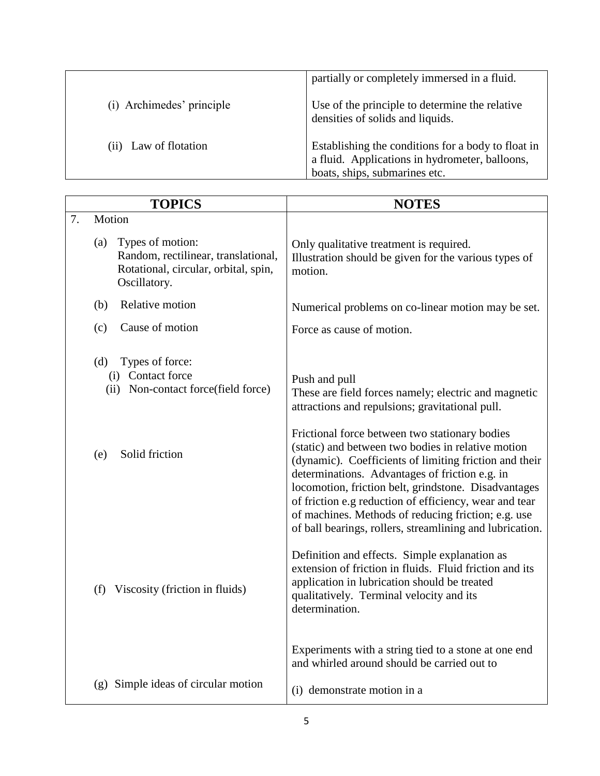|                           | partially or completely immersed in a fluid.                                                                                          |
|---------------------------|---------------------------------------------------------------------------------------------------------------------------------------|
| (i) Archimedes' principle | Use of the principle to determine the relative<br>densities of solids and liquids.                                                    |
| (ii) Law of flotation     | Establishing the conditions for a body to float in<br>a fluid. Applications in hydrometer, balloons,<br>boats, ships, submarines etc. |

| <b>TOPICS</b>                                                                                                          | <b>NOTES</b>                                                                                                                                                                                                                                                                                                                                                                                                                                          |
|------------------------------------------------------------------------------------------------------------------------|-------------------------------------------------------------------------------------------------------------------------------------------------------------------------------------------------------------------------------------------------------------------------------------------------------------------------------------------------------------------------------------------------------------------------------------------------------|
| 7.<br>Motion                                                                                                           |                                                                                                                                                                                                                                                                                                                                                                                                                                                       |
| Types of motion:<br>(a)<br>Random, rectilinear, translational,<br>Rotational, circular, orbital, spin,<br>Oscillatory. | Only qualitative treatment is required.<br>Illustration should be given for the various types of<br>motion.                                                                                                                                                                                                                                                                                                                                           |
| Relative motion<br>(b)                                                                                                 | Numerical problems on co-linear motion may be set.                                                                                                                                                                                                                                                                                                                                                                                                    |
| Cause of motion<br>(c)                                                                                                 | Force as cause of motion.                                                                                                                                                                                                                                                                                                                                                                                                                             |
| Types of force:<br>(d)<br>(i) Contact force<br>(ii) Non-contact force(field force)                                     | Push and pull<br>These are field forces namely; electric and magnetic<br>attractions and repulsions; gravitational pull.                                                                                                                                                                                                                                                                                                                              |
| Solid friction<br>(e)                                                                                                  | Frictional force between two stationary bodies<br>(static) and between two bodies in relative motion<br>(dynamic). Coefficients of limiting friction and their<br>determinations. Advantages of friction e.g. in<br>locomotion, friction belt, grindstone. Disadvantages<br>of friction e.g reduction of efficiency, wear and tear<br>of machines. Methods of reducing friction; e.g. use<br>of ball bearings, rollers, streamlining and lubrication. |
| (f) Viscosity (friction in fluids)                                                                                     | Definition and effects. Simple explanation as<br>extension of friction in fluids. Fluid friction and its<br>application in lubrication should be treated<br>qualitatively. Terminal velocity and its<br>determination.<br>Experiments with a string tied to a stone at one end                                                                                                                                                                        |
| (g) Simple ideas of circular motion                                                                                    | and whirled around should be carried out to                                                                                                                                                                                                                                                                                                                                                                                                           |
|                                                                                                                        | (i) demonstrate motion in a                                                                                                                                                                                                                                                                                                                                                                                                                           |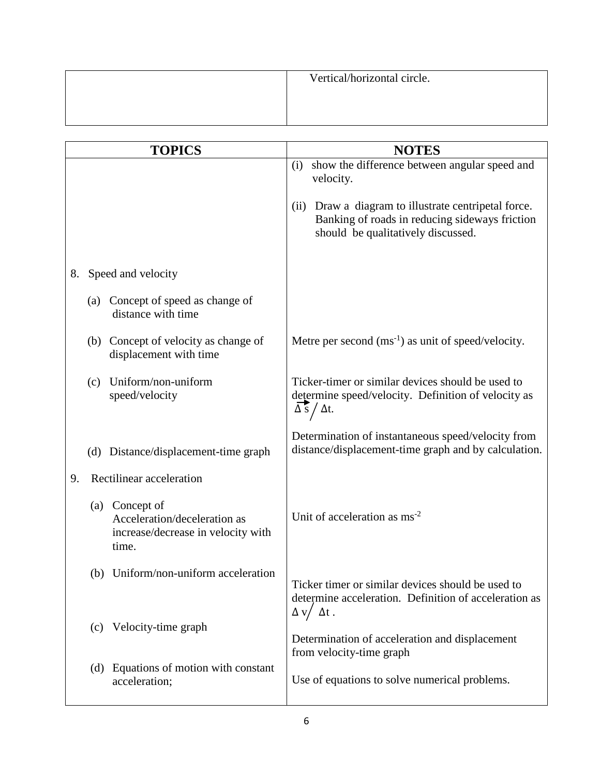| Vertical/horizontal circle. |
|-----------------------------|
|                             |
|                             |

|    |     | <b>TOPICS</b>                                                                                 | <b>NOTES</b>                                                                                                                                    |
|----|-----|-----------------------------------------------------------------------------------------------|-------------------------------------------------------------------------------------------------------------------------------------------------|
|    |     |                                                                                               | show the difference between angular speed and<br>(i)<br>velocity.                                                                               |
|    |     |                                                                                               | Draw a diagram to illustrate centripetal force.<br>(ii)<br>Banking of roads in reducing sideways friction<br>should be qualitatively discussed. |
| 8. |     | Speed and velocity                                                                            |                                                                                                                                                 |
|    | (a) | Concept of speed as change of<br>distance with time                                           |                                                                                                                                                 |
|    |     | (b) Concept of velocity as change of<br>displacement with time                                | Metre per second $(ms^{-1})$ as unit of speed/velocity.                                                                                         |
|    | (c) | Uniform/non-uniform<br>speed/velocity                                                         | Ticker-timer or similar devices should be used to<br>determine speed/velocity. Definition of velocity as<br>$\Delta$ s / $\Delta t$ .           |
|    | (d) | Distance/displacement-time graph                                                              | Determination of instantaneous speed/velocity from<br>distance/displacement-time graph and by calculation.                                      |
| 9. |     | Rectilinear acceleration                                                                      |                                                                                                                                                 |
|    |     | (a) Concept of<br>Acceleration/deceleration as<br>increase/decrease in velocity with<br>time. | Unit of acceleration as $\text{ms}^{-2}$                                                                                                        |
|    |     | (b) Uniform/non-uniform acceleration                                                          | Ticker timer or similar devices should be used to<br>determine acceleration. Definition of acceleration as<br>$\Delta$ v/ $\Delta t$ .          |
|    | (c) | Velocity-time graph                                                                           | Determination of acceleration and displacement<br>from velocity-time graph                                                                      |
|    | (d) | Equations of motion with constant<br>acceleration;                                            | Use of equations to solve numerical problems.                                                                                                   |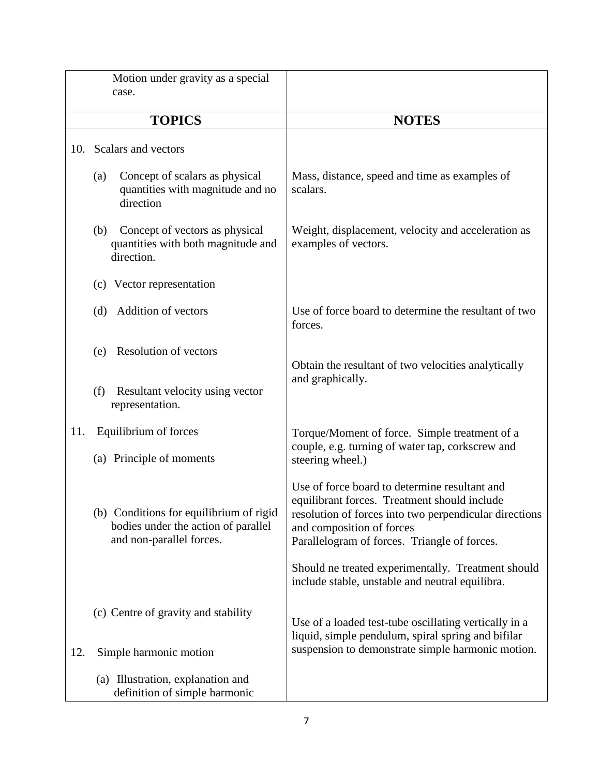|     | Motion under gravity as a special<br>case.                                                                 |                                                                                                                                                                                                                                      |
|-----|------------------------------------------------------------------------------------------------------------|--------------------------------------------------------------------------------------------------------------------------------------------------------------------------------------------------------------------------------------|
|     | <b>TOPICS</b>                                                                                              | <b>NOTES</b>                                                                                                                                                                                                                         |
| 10. | Scalars and vectors                                                                                        |                                                                                                                                                                                                                                      |
|     | Concept of scalars as physical<br>(a)<br>quantities with magnitude and no<br>direction                     | Mass, distance, speed and time as examples of<br>scalars.                                                                                                                                                                            |
|     | Concept of vectors as physical<br>(b)<br>quantities with both magnitude and<br>direction.                  | Weight, displacement, velocity and acceleration as<br>examples of vectors.                                                                                                                                                           |
|     | (c) Vector representation                                                                                  |                                                                                                                                                                                                                                      |
|     | <b>Addition of vectors</b><br>(d)                                                                          | Use of force board to determine the resultant of two<br>forces.                                                                                                                                                                      |
|     | <b>Resolution of vectors</b><br>(e)                                                                        | Obtain the resultant of two velocities analytically<br>and graphically.                                                                                                                                                              |
|     | (f)<br>Resultant velocity using vector<br>representation.                                                  |                                                                                                                                                                                                                                      |
| 11. | Equilibrium of forces<br>(a) Principle of moments                                                          | Torque/Moment of force. Simple treatment of a<br>couple, e.g. turning of water tap, corkscrew and<br>steering wheel.)                                                                                                                |
|     | (b) Conditions for equilibrium of rigid<br>bodies under the action of parallel<br>and non-parallel forces. | Use of force board to determine resultant and<br>equilibrant forces. Treatment should include<br>resolution of forces into two perpendicular directions<br>and composition of forces<br>Parallelogram of forces. Triangle of forces. |
|     |                                                                                                            | Should ne treated experimentally. Treatment should<br>include stable, unstable and neutral equilibra.                                                                                                                                |
|     | (c) Centre of gravity and stability                                                                        | Use of a loaded test-tube oscillating vertically in a<br>liquid, simple pendulum, spiral spring and bifilar<br>suspension to demonstrate simple harmonic motion.                                                                     |
| 12. | Simple harmonic motion<br>(a) Illustration, explanation and<br>definition of simple harmonic               |                                                                                                                                                                                                                                      |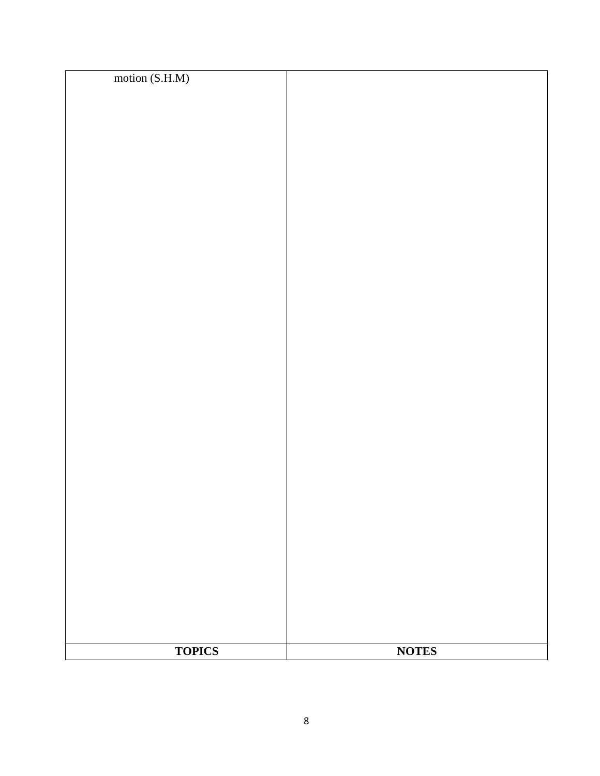| <b>TOPICS</b>  | <b>NOTES</b> |
|----------------|--------------|
|                |              |
|                |              |
|                |              |
|                |              |
|                |              |
|                |              |
|                |              |
|                |              |
|                |              |
|                |              |
|                |              |
|                |              |
|                |              |
|                |              |
|                |              |
|                |              |
|                |              |
|                |              |
|                |              |
|                |              |
|                |              |
|                |              |
|                |              |
|                |              |
|                |              |
|                |              |
|                |              |
|                |              |
|                |              |
|                |              |
| motion (S.H.M) |              |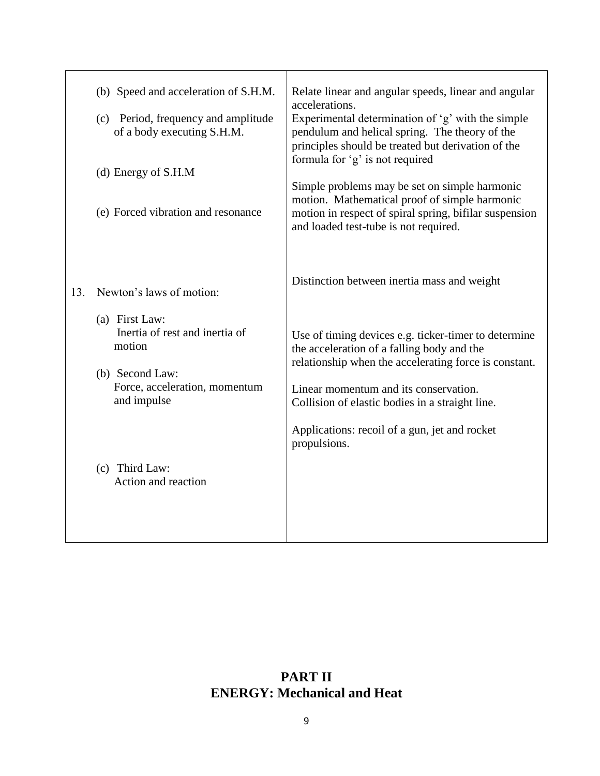|     | (b) Speed and acceleration of S.H.M.<br>(c) Period, frequency and amplitude<br>of a body executing S.H.M.<br>(d) Energy of S.H.M<br>(e) Forced vibration and resonance | Relate linear and angular speeds, linear and angular<br>accelerations.<br>Experimental determination of 'g' with the simple<br>pendulum and helical spring. The theory of the<br>principles should be treated but derivation of the<br>formula for 'g' is not required<br>Simple problems may be set on simple harmonic<br>motion. Mathematical proof of simple harmonic<br>motion in respect of spiral spring, bifilar suspension<br>and loaded test-tube is not required. |
|-----|------------------------------------------------------------------------------------------------------------------------------------------------------------------------|-----------------------------------------------------------------------------------------------------------------------------------------------------------------------------------------------------------------------------------------------------------------------------------------------------------------------------------------------------------------------------------------------------------------------------------------------------------------------------|
| 13. | Newton's laws of motion:                                                                                                                                               | Distinction between inertia mass and weight                                                                                                                                                                                                                                                                                                                                                                                                                                 |
|     | (a) First Law:<br>Inertia of rest and inertia of<br>motion<br>(b) Second Law:<br>Force, acceleration, momentum<br>and impulse                                          | Use of timing devices e.g. ticker-timer to determine<br>the acceleration of a falling body and the<br>relationship when the accelerating force is constant.<br>Linear momentum and its conservation.<br>Collision of elastic bodies in a straight line.<br>Applications: recoil of a gun, jet and rocket<br>propulsions.                                                                                                                                                    |
|     | (c) Third Law:<br>Action and reaction                                                                                                                                  |                                                                                                                                                                                                                                                                                                                                                                                                                                                                             |

# **PART II ENERGY: Mechanical and Heat**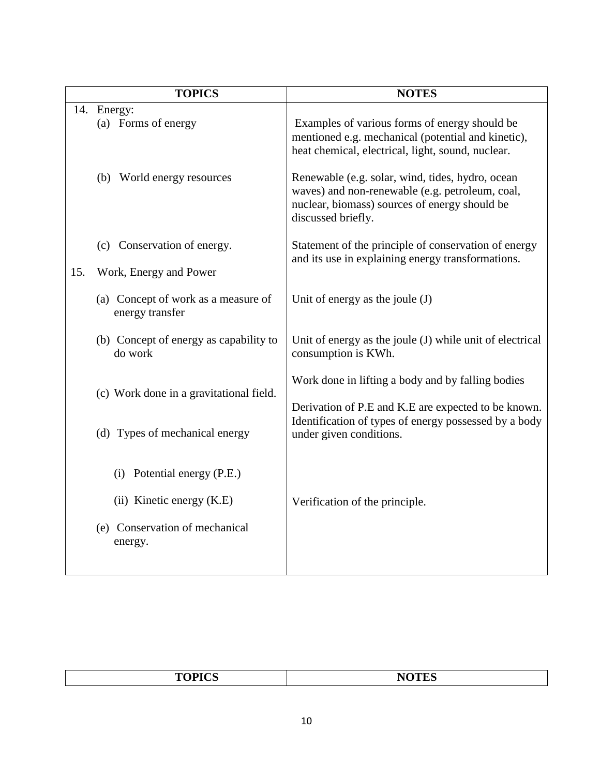|     | <b>TOPICS</b>                                          | <b>NOTES</b>                                                                                                                                                               |
|-----|--------------------------------------------------------|----------------------------------------------------------------------------------------------------------------------------------------------------------------------------|
| 14. | Energy:<br>(a) Forms of energy                         | Examples of various forms of energy should be<br>mentioned e.g. mechanical (potential and kinetic),<br>heat chemical, electrical, light, sound, nuclear.                   |
|     | (b) World energy resources                             | Renewable (e.g. solar, wind, tides, hydro, ocean<br>waves) and non-renewable (e.g. petroleum, coal,<br>nuclear, biomass) sources of energy should be<br>discussed briefly. |
| 15. | (c) Conservation of energy.<br>Work, Energy and Power  | Statement of the principle of conservation of energy<br>and its use in explaining energy transformations.                                                                  |
|     | (a) Concept of work as a measure of<br>energy transfer | Unit of energy as the joule $(J)$                                                                                                                                          |
|     | (b) Concept of energy as capability to<br>do work      | Unit of energy as the joule (J) while unit of electrical<br>consumption is KWh.                                                                                            |
|     | (c) Work done in a gravitational field.                | Work done in lifting a body and by falling bodies                                                                                                                          |
|     | (d) Types of mechanical energy                         | Derivation of P.E and K.E are expected to be known.<br>Identification of types of energy possessed by a body<br>under given conditions.                                    |
|     | (i) Potential energy (P.E.)                            |                                                                                                                                                                            |
|     | (ii) Kinetic energy (K.E)                              | Verification of the principle.                                                                                                                                             |
|     | (e) Conservation of mechanical<br>energy.              |                                                                                                                                                                            |

| <b>TOPICS</b><br>N.<br>A YA<br>________<br>_______ |
|----------------------------------------------------|
|----------------------------------------------------|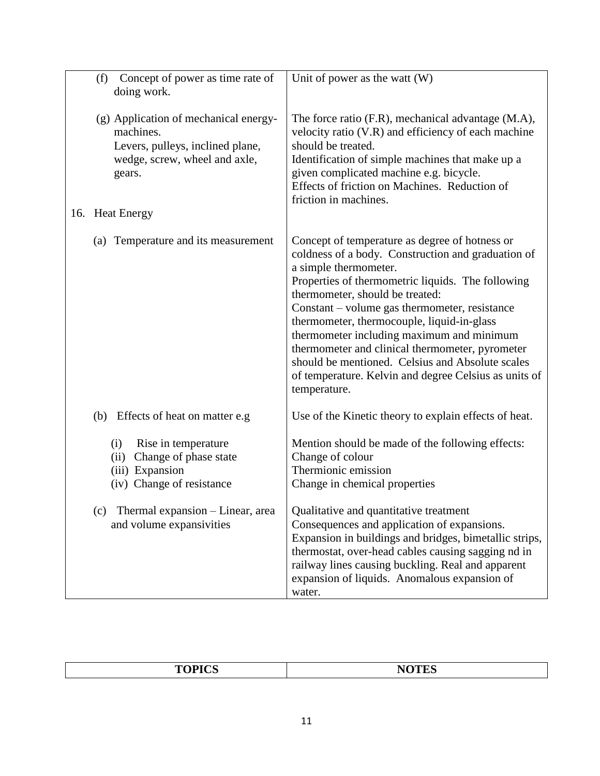| Concept of power as time rate of<br>(f)<br>doing work.                                                                            | Unit of power as the watt (W)                                                                                                                                                                                                                                                                                                                                                                                                                                                                                                                     |
|-----------------------------------------------------------------------------------------------------------------------------------|---------------------------------------------------------------------------------------------------------------------------------------------------------------------------------------------------------------------------------------------------------------------------------------------------------------------------------------------------------------------------------------------------------------------------------------------------------------------------------------------------------------------------------------------------|
| (g) Application of mechanical energy-<br>machines.<br>Levers, pulleys, inclined plane,<br>wedge, screw, wheel and axle,<br>gears. | The force ratio (F.R), mechanical advantage (M.A),<br>velocity ratio (V.R) and efficiency of each machine<br>should be treated.<br>Identification of simple machines that make up a<br>given complicated machine e.g. bicycle.<br>Effects of friction on Machines. Reduction of<br>friction in machines.                                                                                                                                                                                                                                          |
| 16. Heat Energy                                                                                                                   |                                                                                                                                                                                                                                                                                                                                                                                                                                                                                                                                                   |
| (a) Temperature and its measurement                                                                                               | Concept of temperature as degree of hotness or<br>coldness of a body. Construction and graduation of<br>a simple thermometer.<br>Properties of thermometric liquids. The following<br>thermometer, should be treated:<br>Constant – volume gas thermometer, resistance<br>thermometer, thermocouple, liquid-in-glass<br>thermometer including maximum and minimum<br>thermometer and clinical thermometer, pyrometer<br>should be mentioned. Celsius and Absolute scales<br>of temperature. Kelvin and degree Celsius as units of<br>temperature. |
| (b) Effects of heat on matter e.g                                                                                                 | Use of the Kinetic theory to explain effects of heat.                                                                                                                                                                                                                                                                                                                                                                                                                                                                                             |
| (i)<br>Rise in temperature<br>Change of phase state<br>(ii)<br>(iii) Expansion<br>(iv) Change of resistance                       | Mention should be made of the following effects:<br>Change of colour<br>Thermionic emission<br>Change in chemical properties                                                                                                                                                                                                                                                                                                                                                                                                                      |
| Thermal expansion - Linear, area<br>(c)<br>and volume expansivities                                                               | Qualitative and quantitative treatment<br>Consequences and application of expansions.<br>Expansion in buildings and bridges, bimetallic strips,<br>thermostat, over-head cables causing sagging nd in<br>railway lines causing buckling. Real and apparent<br>expansion of liquids. Anomalous expansion of<br>water.                                                                                                                                                                                                                              |

| TODICS<br>$\bf M\Omega$<br>יי<br>ັບ |
|-------------------------------------|
|-------------------------------------|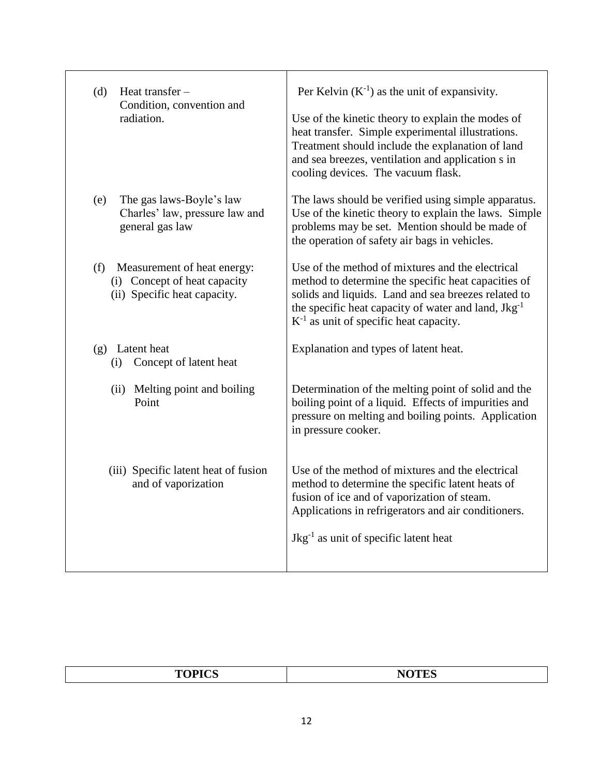| Heat transfer -<br>(d)<br>Condition, convention and<br>radiation.                                  | Per Kelvin $(K^{-1})$ as the unit of expansivity.<br>Use of the kinetic theory to explain the modes of<br>heat transfer. Simple experimental illustrations.<br>Treatment should include the explanation of land<br>and sea breezes, ventilation and application s in<br>cooling devices. The vacuum flask. |
|----------------------------------------------------------------------------------------------------|------------------------------------------------------------------------------------------------------------------------------------------------------------------------------------------------------------------------------------------------------------------------------------------------------------|
| The gas laws-Boyle's law<br>(e)<br>Charles' law, pressure law and<br>general gas law               | The laws should be verified using simple apparatus.<br>Use of the kinetic theory to explain the laws. Simple<br>problems may be set. Mention should be made of<br>the operation of safety air bags in vehicles.                                                                                            |
| (f)<br>Measurement of heat energy:<br>(i) Concept of heat capacity<br>(ii) Specific heat capacity. | Use of the method of mixtures and the electrical<br>method to determine the specific heat capacities of<br>solids and liquids. Land and sea breezes related to<br>the specific heat capacity of water and land, $Jkg^{-1}$<br>$K^{-1}$ as unit of specific heat capacity.                                  |
| (g) Latent heat<br>Concept of latent heat<br>(i)                                                   | Explanation and types of latent heat.                                                                                                                                                                                                                                                                      |
| (ii) Melting point and boiling<br>Point                                                            | Determination of the melting point of solid and the<br>boiling point of a liquid. Effects of impurities and<br>pressure on melting and boiling points. Application<br>in pressure cooker.                                                                                                                  |
| (iii) Specific latent heat of fusion<br>and of vaporization                                        | Use of the method of mixtures and the electrical<br>method to determine the specific latent heats of<br>fusion of ice and of vaporization of steam.<br>Applications in refrigerators and air conditioners.<br>$Jkg^{-1}$ as unit of specific latent heat                                                   |

٦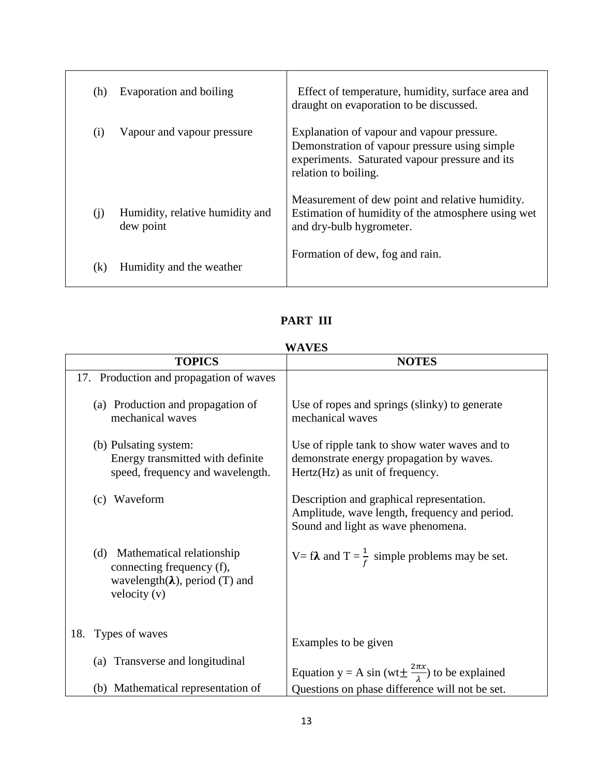| (h) | Evaporation and boiling                      | Effect of temperature, humidity, surface area and<br>draught on evaporation to be discussed.                                                                          |
|-----|----------------------------------------------|-----------------------------------------------------------------------------------------------------------------------------------------------------------------------|
| (i) | Vapour and vapour pressure                   | Explanation of vapour and vapour pressure.<br>Demonstration of vapour pressure using simple<br>experiments. Saturated vapour pressure and its<br>relation to boiling. |
| (i) | Humidity, relative humidity and<br>dew point | Measurement of dew point and relative humidity.<br>Estimation of humidity of the atmosphere using wet<br>and dry-bulb hygrometer.                                     |
| (k) | Humidity and the weather                     | Formation of dew, fog and rain.                                                                                                                                       |

## **PART III**

#### **WAVES**

| <b>TOPICS</b>                                                                                                           | <b>NOTES</b>                                                                                                                     |
|-------------------------------------------------------------------------------------------------------------------------|----------------------------------------------------------------------------------------------------------------------------------|
| 17. Production and propagation of waves                                                                                 |                                                                                                                                  |
| (a) Production and propagation of<br>mechanical waves                                                                   | Use of ropes and springs (slinky) to generate<br>mechanical waves                                                                |
| (b) Pulsating system:<br>Energy transmitted with definite<br>speed, frequency and wavelength.                           | Use of ripple tank to show water waves and to<br>demonstrate energy propagation by waves.<br>Hertz(Hz) as unit of frequency.     |
| Waveform<br>(c)                                                                                                         | Description and graphical representation.<br>Amplitude, wave length, frequency and period.<br>Sound and light as wave phenomena. |
| (d) Mathematical relationship<br>connecting frequency (f),<br>wavelength( $\lambda$ ), period (T) and<br>velocity $(v)$ | V= f <b><math>\lambda</math></b> and T = $\frac{1}{f}$ simple problems may be set.                                               |
| 18.<br>Types of waves                                                                                                   | Examples to be given                                                                                                             |
| Transverse and longitudinal<br>(a)                                                                                      | Equation y = A sin (wt $\pm \frac{2\pi x}{\lambda}$ ) to be explained                                                            |
| (b) Mathematical representation of                                                                                      | Questions on phase difference will not be set.                                                                                   |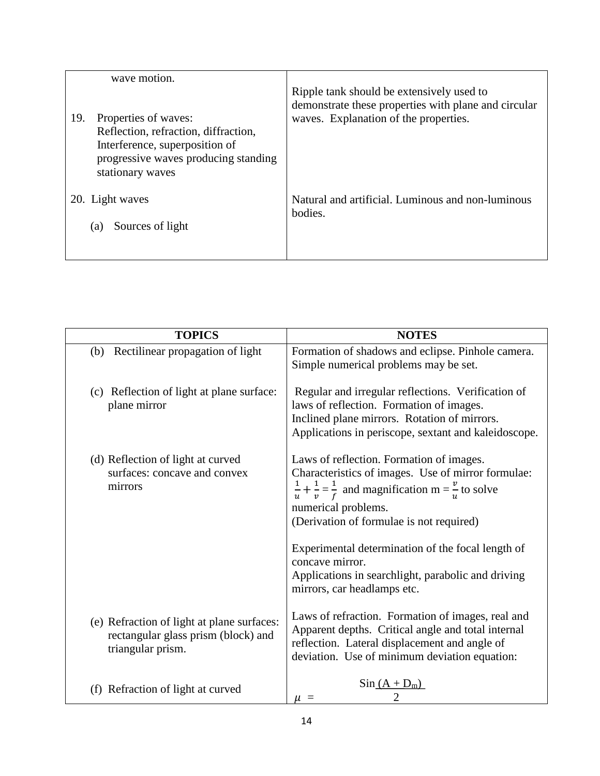| wave motion.                                                                                                                                                      |                                                                                                                                            |
|-------------------------------------------------------------------------------------------------------------------------------------------------------------------|--------------------------------------------------------------------------------------------------------------------------------------------|
| 19.<br>Properties of waves:<br>Reflection, refraction, diffraction,<br>Interference, superposition of<br>progressive waves producing standing<br>stationary waves | Ripple tank should be extensively used to<br>demonstrate these properties with plane and circular<br>waves. Explanation of the properties. |
| 20. Light waves                                                                                                                                                   | Natural and artificial. Luminous and non-luminous                                                                                          |
| Sources of light<br>(a)                                                                                                                                           | bodies.                                                                                                                                    |

| <b>TOPICS</b>                                                                                          | <b>NOTES</b>                                                                                                                                                                                                                                                                                                                                                                                                             |
|--------------------------------------------------------------------------------------------------------|--------------------------------------------------------------------------------------------------------------------------------------------------------------------------------------------------------------------------------------------------------------------------------------------------------------------------------------------------------------------------------------------------------------------------|
| (b) Rectilinear propagation of light                                                                   | Formation of shadows and eclipse. Pinhole camera.<br>Simple numerical problems may be set.                                                                                                                                                                                                                                                                                                                               |
| (c) Reflection of light at plane surface:<br>plane mirror                                              | Regular and irregular reflections. Verification of<br>laws of reflection. Formation of images.<br>Inclined plane mirrors. Rotation of mirrors.<br>Applications in periscope, sextant and kaleidoscope.                                                                                                                                                                                                                   |
| (d) Reflection of light at curved<br>surfaces: concave and convex<br>mirrors                           | Laws of reflection. Formation of images.<br>Characteristics of images. Use of mirror formulae:<br>$\frac{1}{u} + \frac{1}{v} = \frac{1}{f}$ and magnification m = $\frac{v}{v}$ to solve<br>numerical problems.<br>(Derivation of formulae is not required)<br>Experimental determination of the focal length of<br>concave mirror.<br>Applications in searchlight, parabolic and driving<br>mirrors, car headlamps etc. |
| (e) Refraction of light at plane surfaces:<br>rectangular glass prism (block) and<br>triangular prism. | Laws of refraction. Formation of images, real and<br>Apparent depths. Critical angle and total internal<br>reflection. Lateral displacement and angle of<br>deviation. Use of minimum deviation equation:                                                                                                                                                                                                                |
| (f) Refraction of light at curved                                                                      | $\sin(A + D_m)$<br>$\mu =$                                                                                                                                                                                                                                                                                                                                                                                               |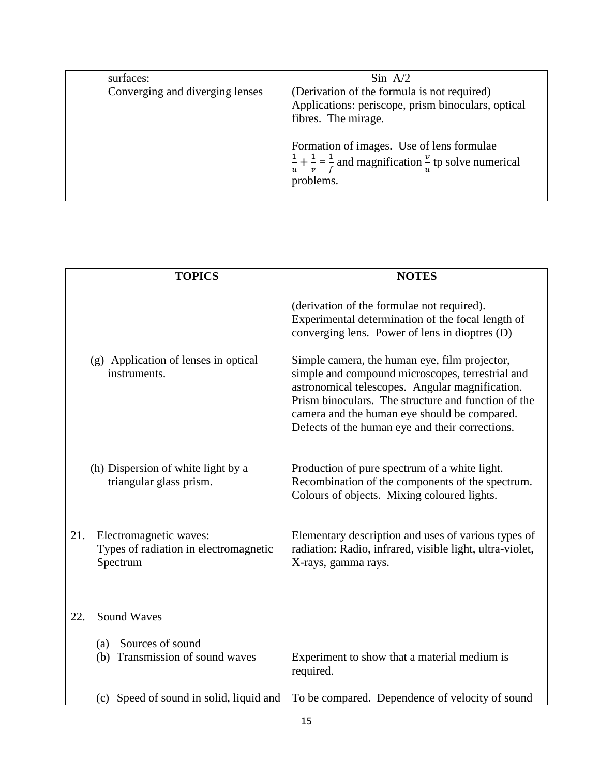| surfaces:                       | $\sin A/2$                                                                                                                                                                                                                                                                         |
|---------------------------------|------------------------------------------------------------------------------------------------------------------------------------------------------------------------------------------------------------------------------------------------------------------------------------|
| Converging and diverging lenses | (Derivation of the formula is not required)<br>Applications: periscope, prism binoculars, optical<br>fibres. The mirage.<br>Formation of images. Use of lens formulae<br>$\frac{1}{u} + \frac{1}{v} = \frac{1}{f}$ and magnification $\frac{v}{v}$ tp solve numerical<br>problems. |

| <b>TOPICS</b> |                                                                             | <b>NOTES</b>                                                                                                                                                                                                                                                                                                                                                                                                     |
|---------------|-----------------------------------------------------------------------------|------------------------------------------------------------------------------------------------------------------------------------------------------------------------------------------------------------------------------------------------------------------------------------------------------------------------------------------------------------------------------------------------------------------|
|               | (g) Application of lenses in optical<br>instruments.                        | (derivation of the formulae not required).<br>Experimental determination of the focal length of<br>converging lens. Power of lens in dioptres (D)<br>Simple camera, the human eye, film projector,<br>simple and compound microscopes, terrestrial and<br>astronomical telescopes. Angular magnification.<br>Prism binoculars. The structure and function of the<br>camera and the human eye should be compared. |
|               | (h) Dispersion of white light by a<br>triangular glass prism.               | Defects of the human eye and their corrections.<br>Production of pure spectrum of a white light.<br>Recombination of the components of the spectrum.<br>Colours of objects. Mixing coloured lights.                                                                                                                                                                                                              |
| 21.           | Electromagnetic waves:<br>Types of radiation in electromagnetic<br>Spectrum | Elementary description and uses of various types of<br>radiation: Radio, infrared, visible light, ultra-violet,<br>X-rays, gamma rays.                                                                                                                                                                                                                                                                           |
| 22.           | <b>Sound Waves</b>                                                          |                                                                                                                                                                                                                                                                                                                                                                                                                  |
|               | Sources of sound<br>(a)<br>(b) Transmission of sound waves                  | Experiment to show that a material medium is<br>required.                                                                                                                                                                                                                                                                                                                                                        |
|               | (c) Speed of sound in solid, liquid and                                     | To be compared. Dependence of velocity of sound                                                                                                                                                                                                                                                                                                                                                                  |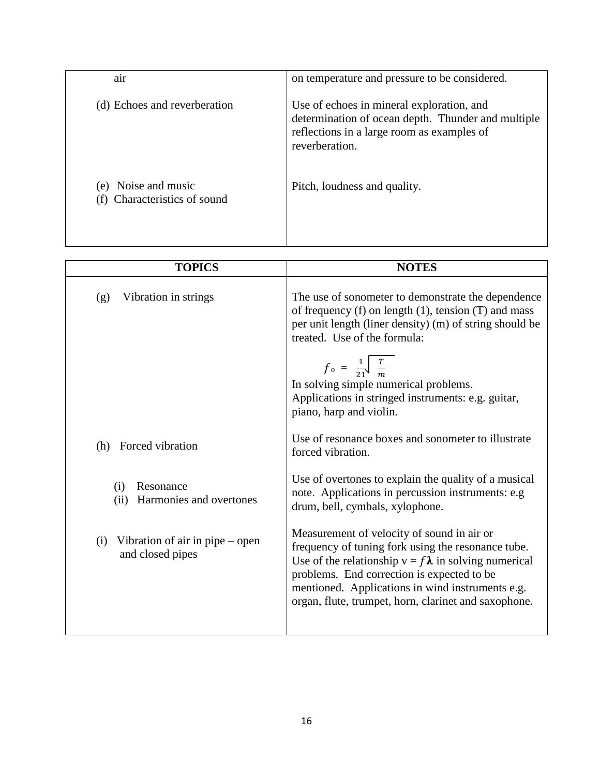| air                                             | on temperature and pressure to be considered.                                                                                                                   |
|-------------------------------------------------|-----------------------------------------------------------------------------------------------------------------------------------------------------------------|
| (d) Echoes and reverberation                    | Use of echoes in mineral exploration, and<br>determination of ocean depth. Thunder and multiple<br>reflections in a large room as examples of<br>reverberation. |
| (e) Noise and music<br>Characteristics of sound | Pitch, loudness and quality.                                                                                                                                    |

| <b>TOPICS</b>                                                | <b>NOTES</b>                                                                                                                                                                                                                                                                                                               |
|--------------------------------------------------------------|----------------------------------------------------------------------------------------------------------------------------------------------------------------------------------------------------------------------------------------------------------------------------------------------------------------------------|
| Vibration in strings<br>(g)                                  | The use of sonometer to demonstrate the dependence<br>of frequency $(f)$ on length $(1)$ , tension $(T)$ and mass<br>per unit length (liner density) (m) of string should be<br>treated. Use of the formula:<br>$f_{\rm o} = \frac{1}{21} \sqrt{\frac{T}{m}}$<br>In solving simple numerical problems.                     |
|                                                              | Applications in stringed instruments: e.g. guitar,<br>piano, harp and violin.                                                                                                                                                                                                                                              |
| Forced vibration<br>(h)                                      | Use of resonance boxes and sonometer to illustrate<br>forced vibration.                                                                                                                                                                                                                                                    |
| Resonance<br>(i)<br>Harmonies and overtones<br>(ii)          | Use of overtones to explain the quality of a musical<br>note. Applications in percussion instruments: e.g<br>drum, bell, cymbals, xylophone.                                                                                                                                                                               |
| Vibration of air in pipe $-$ open<br>(i)<br>and closed pipes | Measurement of velocity of sound in air or<br>frequency of tuning fork using the resonance tube.<br>Use of the relationship $v = f \lambda$ in solving numerical<br>problems. End correction is expected to be<br>mentioned. Applications in wind instruments e.g.<br>organ, flute, trumpet, horn, clarinet and saxophone. |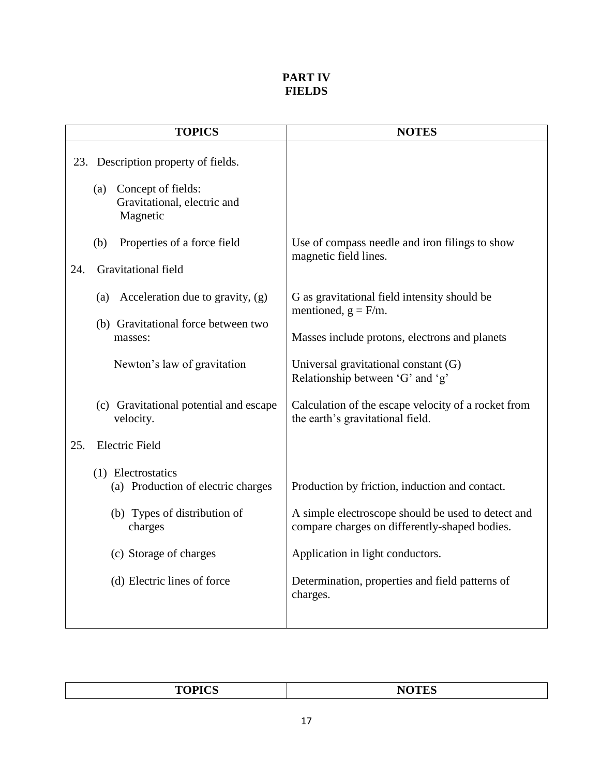### **PART IV FIELDS**

|     | <b>TOPICS</b>                                                        | <b>NOTES</b>                                                                                        |
|-----|----------------------------------------------------------------------|-----------------------------------------------------------------------------------------------------|
|     | 23. Description property of fields.                                  |                                                                                                     |
|     | Concept of fields:<br>(a)<br>Gravitational, electric and<br>Magnetic |                                                                                                     |
|     | (b)<br>Properties of a force field                                   | Use of compass needle and iron filings to show<br>magnetic field lines.                             |
| 24. | Gravitational field                                                  |                                                                                                     |
|     | Acceleration due to gravity, (g)<br>(a)                              | G as gravitational field intensity should be<br>mentioned, $g = F/m$ .                              |
|     | (b) Gravitational force between two<br>masses:                       | Masses include protons, electrons and planets                                                       |
|     | Newton's law of gravitation                                          | Universal gravitational constant (G)<br>Relationship between 'G' and 'g'                            |
|     | (c) Gravitational potential and escape<br>velocity.                  | Calculation of the escape velocity of a rocket from<br>the earth's gravitational field.             |
| 25. | <b>Electric Field</b>                                                |                                                                                                     |
|     | (1) Electrostatics<br>(a) Production of electric charges             | Production by friction, induction and contact.                                                      |
|     | (b) Types of distribution of<br>charges                              | A simple electroscope should be used to detect and<br>compare charges on differently-shaped bodies. |
|     | (c) Storage of charges                                               | Application in light conductors.                                                                    |
|     | (d) Electric lines of force                                          | Determination, properties and field patterns of<br>charges.                                         |
|     |                                                                      |                                                                                                     |

| <b>TOPICS</b><br>- | $\sim$ $\sim$ $\sim$ $\sim$ |
|--------------------|-----------------------------|
|                    |                             |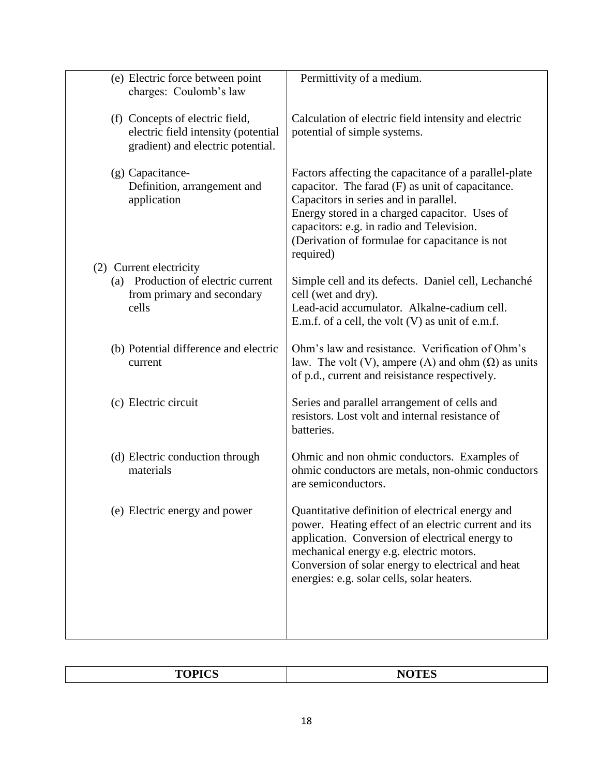| (e) Electric force between point<br>charges: Coulomb's law                                                  | Permittivity of a medium.                                                                                                                                                                                                                                                                                       |
|-------------------------------------------------------------------------------------------------------------|-----------------------------------------------------------------------------------------------------------------------------------------------------------------------------------------------------------------------------------------------------------------------------------------------------------------|
| (f) Concepts of electric field,<br>electric field intensity (potential<br>gradient) and electric potential. | Calculation of electric field intensity and electric<br>potential of simple systems.                                                                                                                                                                                                                            |
| (g) Capacitance-<br>Definition, arrangement and<br>application                                              | Factors affecting the capacitance of a parallel-plate<br>capacitor. The farad (F) as unit of capacitance.<br>Capacitors in series and in parallel.<br>Energy stored in a charged capacitor. Uses of<br>capacitors: e.g. in radio and Television.<br>(Derivation of formulae for capacitance is not<br>required) |
| (2) Current electricity                                                                                     |                                                                                                                                                                                                                                                                                                                 |
| (a) Production of electric current<br>from primary and secondary<br>cells                                   | Simple cell and its defects. Daniel cell, Lechanché<br>cell (wet and dry).<br>Lead-acid accumulator. Alkalne-cadium cell.<br>E.m.f. of a cell, the volt $(V)$ as unit of e.m.f.                                                                                                                                 |
| (b) Potential difference and electric<br>current                                                            | Ohm's law and resistance. Verification of Ohm's<br>law. The volt (V), ampere (A) and ohm $(\Omega)$ as units<br>of p.d., current and reisistance respectively.                                                                                                                                                  |
| (c) Electric circuit                                                                                        | Series and parallel arrangement of cells and<br>resistors. Lost volt and internal resistance of<br>batteries.                                                                                                                                                                                                   |
| (d) Electric conduction through<br>materials                                                                | Ohmic and non ohmic conductors. Examples of<br>ohmic conductors are metals, non-ohmic conductors<br>are semiconductors.                                                                                                                                                                                         |
| (e) Electric energy and power                                                                               | Quantitative definition of electrical energy and<br>power. Heating effect of an electric current and its<br>application. Conversion of electrical energy to<br>mechanical energy e.g. electric motors.<br>Conversion of solar energy to electrical and heat<br>energies: e.g. solar cells, solar heaters.       |
|                                                                                                             |                                                                                                                                                                                                                                                                                                                 |

|--|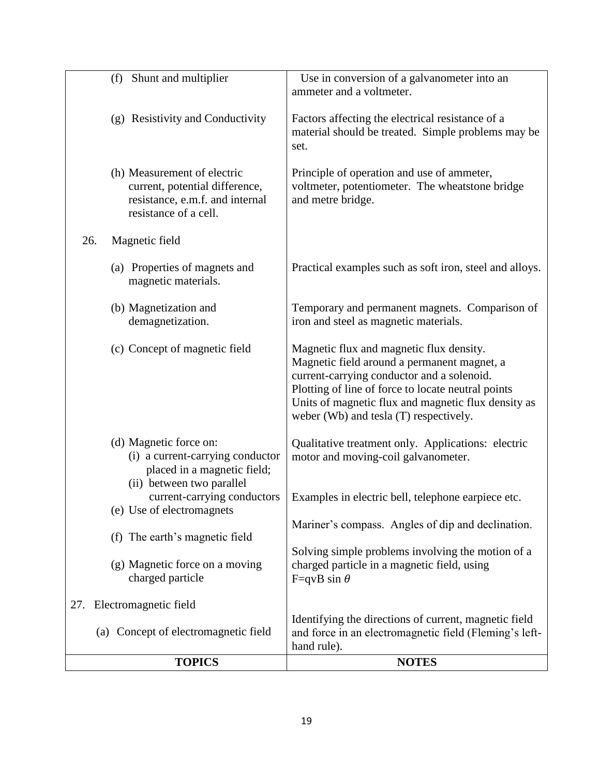|     | <b>TOPICS</b>                                                                                                             | <b>NOTES</b>                                                                                                                                                                                                                                                                                 |
|-----|---------------------------------------------------------------------------------------------------------------------------|----------------------------------------------------------------------------------------------------------------------------------------------------------------------------------------------------------------------------------------------------------------------------------------------|
|     | (a) Concept of electromagnetic field                                                                                      | Identifying the directions of current, magnetic field<br>and force in an electromagnetic field (Fleming's left-<br>hand rule).                                                                                                                                                               |
| 27. | Electromagnetic field                                                                                                     |                                                                                                                                                                                                                                                                                              |
|     | (g) Magnetic force on a moving<br>charged particle                                                                        | Solving simple problems involving the motion of a<br>charged particle in a magnetic field, using<br>F=qvB sin $\theta$                                                                                                                                                                       |
|     | (f) The earth's magnetic field                                                                                            | Mariner's compass. Angles of dip and declination.                                                                                                                                                                                                                                            |
|     | current-carrying conductors<br>(e) Use of electromagnets                                                                  | Examples in electric bell, telephone earpiece etc.                                                                                                                                                                                                                                           |
|     | (d) Magnetic force on:<br>(i) a current-carrying conductor<br>placed in a magnetic field;<br>(ii) between two parallel    | Qualitative treatment only. Applications: electric<br>motor and moving-coil galvanometer.                                                                                                                                                                                                    |
|     | (c) Concept of magnetic field                                                                                             | Magnetic flux and magnetic flux density.<br>Magnetic field around a permanent magnet, a<br>current-carrying conductor and a solenoid.<br>Plotting of line of force to locate neutral points<br>Units of magnetic flux and magnetic flux density as<br>weber (Wb) and tesla (T) respectively. |
|     | (b) Magnetization and<br>demagnetization.                                                                                 | Temporary and permanent magnets. Comparison of<br>iron and steel as magnetic materials.                                                                                                                                                                                                      |
|     | (a) Properties of magnets and<br>magnetic materials.                                                                      | Practical examples such as soft iron, steel and alloys.                                                                                                                                                                                                                                      |
| 26. | Magnetic field                                                                                                            |                                                                                                                                                                                                                                                                                              |
|     | (h) Measurement of electric<br>current, potential difference,<br>resistance, e.m.f. and internal<br>resistance of a cell. | Principle of operation and use of ammeter,<br>voltmeter, potentiometer. The wheatstone bridge<br>and metre bridge.                                                                                                                                                                           |
|     | (g) Resistivity and Conductivity                                                                                          | Factors affecting the electrical resistance of a<br>material should be treated. Simple problems may be<br>set.                                                                                                                                                                               |
|     | (f) Shunt and multiplier                                                                                                  | Use in conversion of a galvanometer into an<br>ammeter and a voltmeter.                                                                                                                                                                                                                      |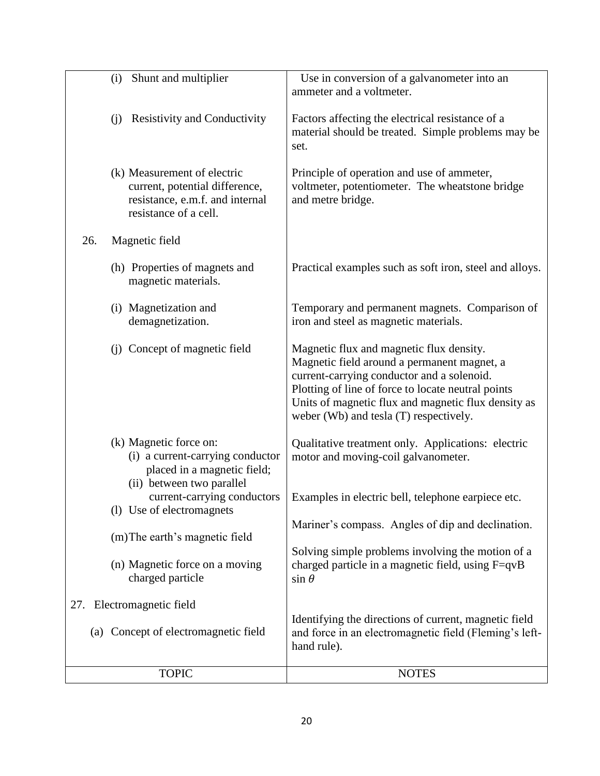|     | <b>TOPIC</b>                                                                                                              | hand rule).<br><b>NOTES</b>                                                                                                                                                                                                                                                                  |
|-----|---------------------------------------------------------------------------------------------------------------------------|----------------------------------------------------------------------------------------------------------------------------------------------------------------------------------------------------------------------------------------------------------------------------------------------|
|     | 27. Electromagnetic field<br>(a) Concept of electromagnetic field                                                         | Identifying the directions of current, magnetic field<br>and force in an electromagnetic field (Fleming's left-                                                                                                                                                                              |
|     | (n) Magnetic force on a moving<br>charged particle                                                                        | Solving simple problems involving the motion of a<br>charged particle in a magnetic field, using F=qvB<br>$\sin \theta$                                                                                                                                                                      |
|     | (1) Use of electromagnets<br>(m) The earth's magnetic field                                                               | Mariner's compass. Angles of dip and declination.                                                                                                                                                                                                                                            |
|     | placed in a magnetic field;<br>(ii) between two parallel<br>current-carrying conductors                                   | Examples in electric bell, telephone earpiece etc.                                                                                                                                                                                                                                           |
|     | (k) Magnetic force on:<br>(i) a current-carrying conductor                                                                | Qualitative treatment only. Applications: electric<br>motor and moving-coil galvanometer.                                                                                                                                                                                                    |
|     | (j) Concept of magnetic field                                                                                             | Magnetic flux and magnetic flux density.<br>Magnetic field around a permanent magnet, a<br>current-carrying conductor and a solenoid.<br>Plotting of line of force to locate neutral points<br>Units of magnetic flux and magnetic flux density as<br>weber (Wb) and tesla (T) respectively. |
|     | (i) Magnetization and<br>demagnetization.                                                                                 | Temporary and permanent magnets. Comparison of<br>iron and steel as magnetic materials.                                                                                                                                                                                                      |
|     | (h) Properties of magnets and<br>magnetic materials.                                                                      | Practical examples such as soft iron, steel and alloys.                                                                                                                                                                                                                                      |
| 26. | Magnetic field                                                                                                            |                                                                                                                                                                                                                                                                                              |
|     | (k) Measurement of electric<br>current, potential difference,<br>resistance, e.m.f. and internal<br>resistance of a cell. | Principle of operation and use of ammeter,<br>voltmeter, potentiometer. The wheatstone bridge<br>and metre bridge.                                                                                                                                                                           |
|     | <b>Resistivity and Conductivity</b><br>(i)                                                                                | Factors affecting the electrical resistance of a<br>material should be treated. Simple problems may be<br>set.                                                                                                                                                                               |
|     | (i) Shunt and multiplier                                                                                                  | Use in conversion of a galvanometer into an<br>ammeter and a voltmeter.                                                                                                                                                                                                                      |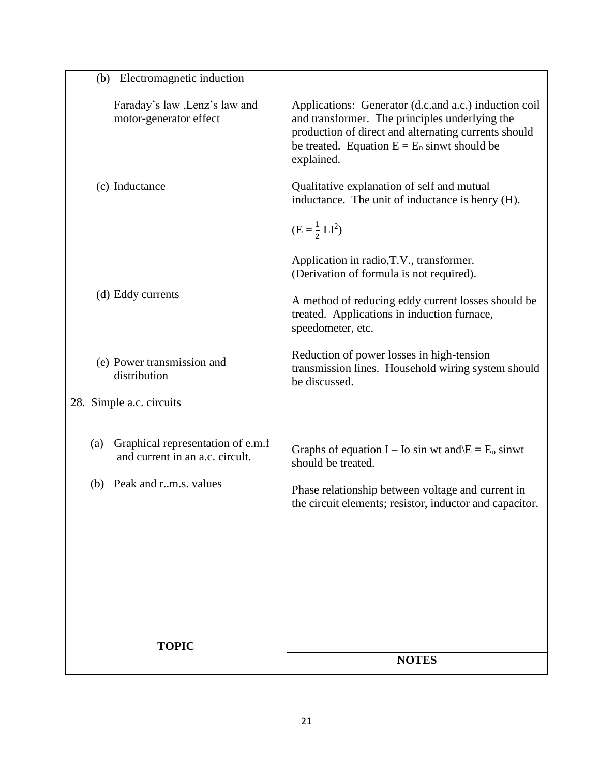| Electromagnetic induction<br>(b)                                            |                                                                                                                                                                                                                                 |
|-----------------------------------------------------------------------------|---------------------------------------------------------------------------------------------------------------------------------------------------------------------------------------------------------------------------------|
| Faraday's law , Lenz's law and<br>motor-generator effect                    | Applications: Generator (d.c.and a.c.) induction coil<br>and transformer. The principles underlying the<br>production of direct and alternating currents should<br>be treated. Equation $E = E_0$ sinwt should be<br>explained. |
| (c) Inductance                                                              | Qualitative explanation of self and mutual<br>inductance. The unit of inductance is henry (H).                                                                                                                                  |
|                                                                             | $(E = \frac{1}{2}LI^2)$                                                                                                                                                                                                         |
|                                                                             | Application in radio, T.V., transformer.<br>(Derivation of formula is not required).                                                                                                                                            |
| (d) Eddy currents                                                           | A method of reducing eddy current losses should be<br>treated. Applications in induction furnace,<br>speedometer, etc.                                                                                                          |
| (e) Power transmission and<br>distribution                                  | Reduction of power losses in high-tension<br>transmission lines. Household wiring system should<br>be discussed.                                                                                                                |
| 28. Simple a.c. circuits                                                    |                                                                                                                                                                                                                                 |
| Graphical representation of e.m.f<br>(a)<br>and current in an a.c. circult. | Graphs of equation I – Io sin wt and $E = E_0$ sinwt<br>should be treated.                                                                                                                                                      |
| Peak and r.m.s. values<br>(b)                                               | Phase relationship between voltage and current in<br>the circuit elements; resistor, inductor and capacitor.                                                                                                                    |
|                                                                             |                                                                                                                                                                                                                                 |
|                                                                             |                                                                                                                                                                                                                                 |
|                                                                             |                                                                                                                                                                                                                                 |
| <b>TOPIC</b>                                                                |                                                                                                                                                                                                                                 |
|                                                                             | <b>NOTES</b>                                                                                                                                                                                                                    |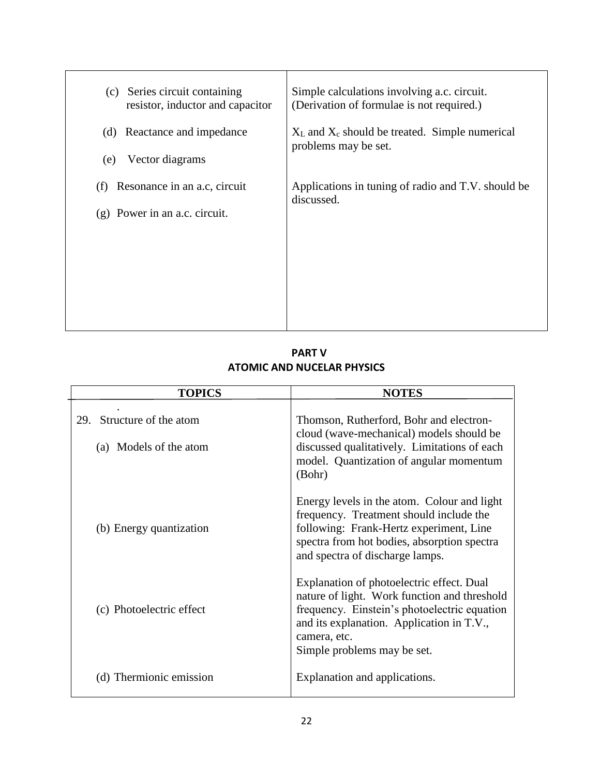| Series circuit containing<br>(c)<br>resistor, inductor and capacitor   | Simple calculations involving a.c. circuit.<br>(Derivation of formulae is not required.) |
|------------------------------------------------------------------------|------------------------------------------------------------------------------------------|
| Reactance and impedance<br>(d)<br>Vector diagrams<br>(e)               | $X_L$ and $X_c$ should be treated. Simple numerical<br>problems may be set.              |
| Resonance in an a.c. circuit<br>(f)<br>$(g)$ Power in an a.c. circuit. | Applications in tuning of radio and T.V. should be<br>discussed.                         |
|                                                                        |                                                                                          |
|                                                                        |                                                                                          |

 **PART V ATOMIC AND NUCELAR PHYSICS**

| <b>TOPICS</b>                                          | <b>NOTES</b>                                                                                                                                                                                                                          |
|--------------------------------------------------------|---------------------------------------------------------------------------------------------------------------------------------------------------------------------------------------------------------------------------------------|
| Structure of the atom<br>29.<br>(a) Models of the atom | Thomson, Rutherford, Bohr and electron-<br>cloud (wave-mechanical) models should be<br>discussed qualitatively. Limitations of each<br>model. Quantization of angular momentum<br>(Bohr)                                              |
| (b) Energy quantization                                | Energy levels in the atom. Colour and light<br>frequency. Treatment should include the<br>following: Frank-Hertz experiment, Line<br>spectra from hot bodies, absorption spectra<br>and spectra of discharge lamps.                   |
| (c) Photoelectric effect                               | Explanation of photoelectric effect. Dual<br>nature of light. Work function and threshold<br>frequency. Einstein's photoelectric equation<br>and its explanation. Application in T.V.,<br>camera, etc.<br>Simple problems may be set. |
| (d) Thermionic emission                                | Explanation and applications.                                                                                                                                                                                                         |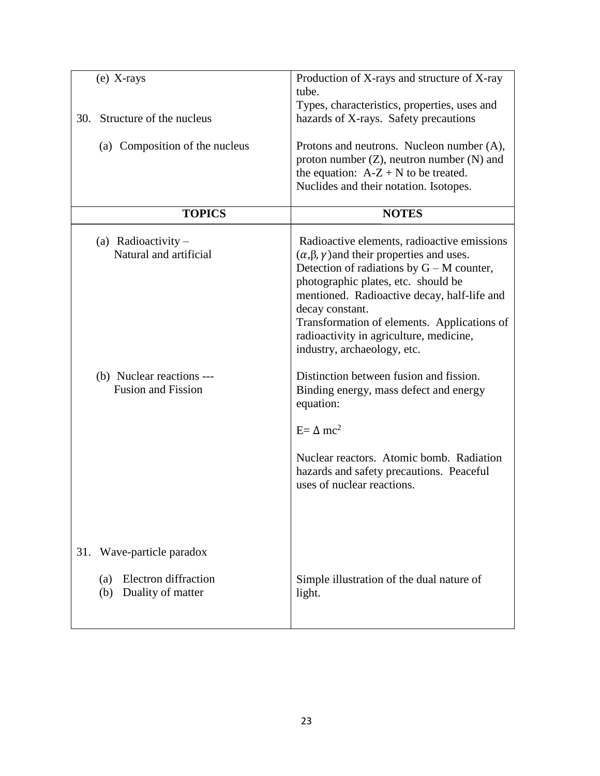| $(e)$ X-rays<br>Structure of the nucleus<br>30.                                                           | Production of X-rays and structure of X-ray<br>tube.<br>Types, characteristics, properties, uses and<br>hazards of X-rays. Safety precautions                                                                                                                                                                                                                                                                                                                                                                   |
|-----------------------------------------------------------------------------------------------------------|-----------------------------------------------------------------------------------------------------------------------------------------------------------------------------------------------------------------------------------------------------------------------------------------------------------------------------------------------------------------------------------------------------------------------------------------------------------------------------------------------------------------|
| (a) Composition of the nucleus                                                                            | Protons and neutrons. Nucleon number (A),<br>proton number $(Z)$ , neutron number $(N)$ and<br>the equation: $A-Z + N$ to be treated.<br>Nuclides and their notation. Isotopes.                                                                                                                                                                                                                                                                                                                                 |
| <b>TOPICS</b>                                                                                             | <b>NOTES</b>                                                                                                                                                                                                                                                                                                                                                                                                                                                                                                    |
| (a) Radioactivity $-$<br>Natural and artificial<br>(b) Nuclear reactions ---<br><b>Fusion and Fission</b> | Radioactive elements, radioactive emissions<br>$(\alpha, \beta, \gamma)$ and their properties and uses.<br>Detection of radiations by $G - M$ counter,<br>photographic plates, etc. should be<br>mentioned. Radioactive decay, half-life and<br>decay constant.<br>Transformation of elements. Applications of<br>radioactivity in agriculture, medicine,<br>industry, archaeology, etc.<br>Distinction between fusion and fission.<br>Binding energy, mass defect and energy<br>equation:<br>$E = \Delta mc^2$ |
| Wave-particle paradox<br>31.<br><b>Electron</b> diffraction<br>(a)                                        | Nuclear reactors. Atomic bomb. Radiation<br>hazards and safety precautions. Peaceful<br>uses of nuclear reactions.<br>Simple illustration of the dual nature of                                                                                                                                                                                                                                                                                                                                                 |
| Duality of matter<br>(b)                                                                                  | light.                                                                                                                                                                                                                                                                                                                                                                                                                                                                                                          |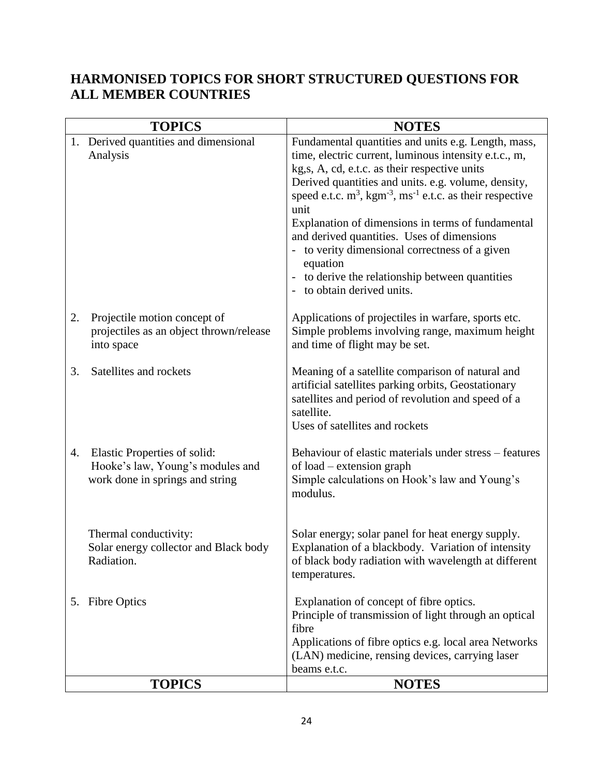# **HARMONISED TOPICS FOR SHORT STRUCTURED QUESTIONS FOR ALL MEMBER COUNTRIES**

|    | <b>TOPICS</b>                                                                                       | <b>NOTES</b>                                                                                                                                                                                                                                                                                                                                                                                                                                                                                                                                                                                    |
|----|-----------------------------------------------------------------------------------------------------|-------------------------------------------------------------------------------------------------------------------------------------------------------------------------------------------------------------------------------------------------------------------------------------------------------------------------------------------------------------------------------------------------------------------------------------------------------------------------------------------------------------------------------------------------------------------------------------------------|
|    | 1. Derived quantities and dimensional<br>Analysis                                                   | Fundamental quantities and units e.g. Length, mass,<br>time, electric current, luminous intensity e.t.c., m,<br>kg, s, A, cd, e.t.c. as their respective units<br>Derived quantities and units. e.g. volume, density,<br>speed e.t.c. $m^3$ , kgm <sup>-3</sup> , ms <sup>-1</sup> e.t.c. as their respective<br>unit<br>Explanation of dimensions in terms of fundamental<br>and derived quantities. Uses of dimensions<br>- to verity dimensional correctness of a given<br>equation<br>to derive the relationship between quantities<br>$\overline{\phantom{a}}$<br>to obtain derived units. |
| 2. | Projectile motion concept of<br>projectiles as an object thrown/release<br>into space               | Applications of projectiles in warfare, sports etc.<br>Simple problems involving range, maximum height<br>and time of flight may be set.                                                                                                                                                                                                                                                                                                                                                                                                                                                        |
| 3. | Satellites and rockets                                                                              | Meaning of a satellite comparison of natural and<br>artificial satellites parking orbits, Geostationary<br>satellites and period of revolution and speed of a<br>satellite.<br>Uses of satellites and rockets                                                                                                                                                                                                                                                                                                                                                                                   |
| 4. | Elastic Properties of solid:<br>Hooke's law, Young's modules and<br>work done in springs and string | Behaviour of elastic materials under stress – features<br>of load – extension graph<br>Simple calculations on Hook's law and Young's<br>modulus.                                                                                                                                                                                                                                                                                                                                                                                                                                                |
|    | Thermal conductivity:<br>Solar energy collector and Black body<br>Radiation.                        | Solar energy; solar panel for heat energy supply.<br>Explanation of a blackbody. Variation of intensity<br>of black body radiation with wavelength at different<br>temperatures.                                                                                                                                                                                                                                                                                                                                                                                                                |
|    | 5. Fibre Optics                                                                                     | Explanation of concept of fibre optics.<br>Principle of transmission of light through an optical<br>fibre<br>Applications of fibre optics e.g. local area Networks<br>(LAN) medicine, rensing devices, carrying laser<br>beams e.t.c.                                                                                                                                                                                                                                                                                                                                                           |
|    | <b>TOPICS</b>                                                                                       | <b>NOTES</b>                                                                                                                                                                                                                                                                                                                                                                                                                                                                                                                                                                                    |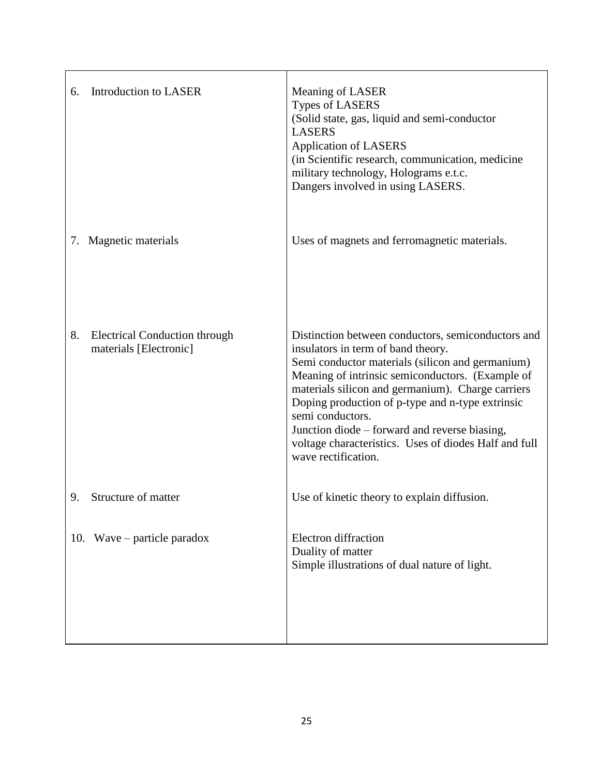| Introduction to LASER<br>6.                                          | Meaning of LASER<br><b>Types of LASERS</b><br>(Solid state, gas, liquid and semi-conductor<br><b>LASERS</b><br><b>Application of LASERS</b><br>(in Scientific research, communication, medicine<br>military technology, Holograms e.t.c.<br>Dangers involved in using LASERS.                                                                                                                                                                                  |
|----------------------------------------------------------------------|----------------------------------------------------------------------------------------------------------------------------------------------------------------------------------------------------------------------------------------------------------------------------------------------------------------------------------------------------------------------------------------------------------------------------------------------------------------|
| Magnetic materials<br>7.                                             | Uses of magnets and ferromagnetic materials.                                                                                                                                                                                                                                                                                                                                                                                                                   |
| 8.<br><b>Electrical Conduction through</b><br>materials [Electronic] | Distinction between conductors, semiconductors and<br>insulators in term of band theory.<br>Semi conductor materials (silicon and germanium)<br>Meaning of intrinsic semiconductors. (Example of<br>materials silicon and germanium). Charge carriers<br>Doping production of p-type and n-type extrinsic<br>semi conductors.<br>Junction diode – forward and reverse biasing,<br>voltage characteristics. Uses of diodes Half and full<br>wave rectification. |
| Structure of matter<br>9.                                            | Use of kinetic theory to explain diffusion.                                                                                                                                                                                                                                                                                                                                                                                                                    |
| 10. Wave – particle paradox                                          | Electron diffraction<br>Duality of matter<br>Simple illustrations of dual nature of light.                                                                                                                                                                                                                                                                                                                                                                     |